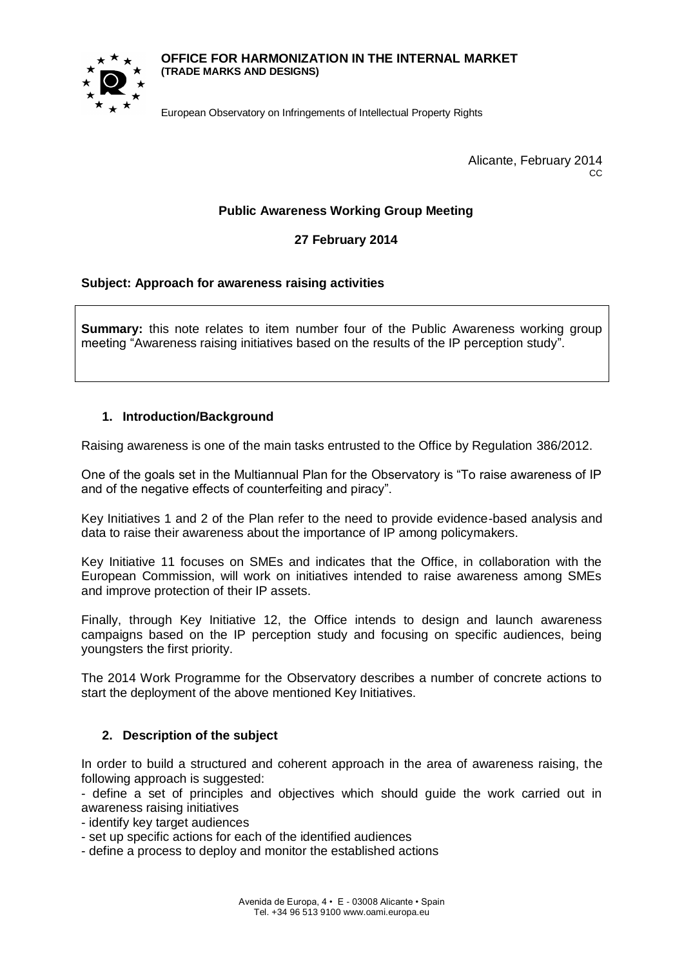#### **OFFICE FOR HARMONIZATION IN THE INTERNAL MARKET (TRADE MARKS AND DESIGNS)**



European Observatory on Infringements of Intellectual Property Rights

Alicante, February 2014 CC.

### **Public Awareness Working Group Meeting**

### **27 February 2014**

#### **Subject: Approach for awareness raising activities**

**Summary:** this note relates to item number four of the Public Awareness working group meeting "Awareness raising initiatives based on the results of the IP perception study".

#### **1. Introduction/Background**

Raising awareness is one of the main tasks entrusted to the Office by Regulation 386/2012.

One of the goals set in the Multiannual Plan for the Observatory is "To raise awareness of IP and of the negative effects of counterfeiting and piracy".

Key Initiatives 1 and 2 of the Plan refer to the need to provide evidence-based analysis and data to raise their awareness about the importance of IP among policymakers.

Key Initiative 11 focuses on SMEs and indicates that the Office, in collaboration with the European Commission, will work on initiatives intended to raise awareness among SMEs and improve protection of their IP assets.

Finally, through Key Initiative 12, the Office intends to design and launch awareness campaigns based on the IP perception study and focusing on specific audiences, being youngsters the first priority.

The 2014 Work Programme for the Observatory describes a number of concrete actions to start the deployment of the above mentioned Key Initiatives.

#### **2. Description of the subject**

In order to build a structured and coherent approach in the area of awareness raising, the following approach is suggested:

- define a set of principles and objectives which should guide the work carried out in awareness raising initiatives

- identify key target audiences
- set up specific actions for each of the identified audiences
- define a process to deploy and monitor the established actions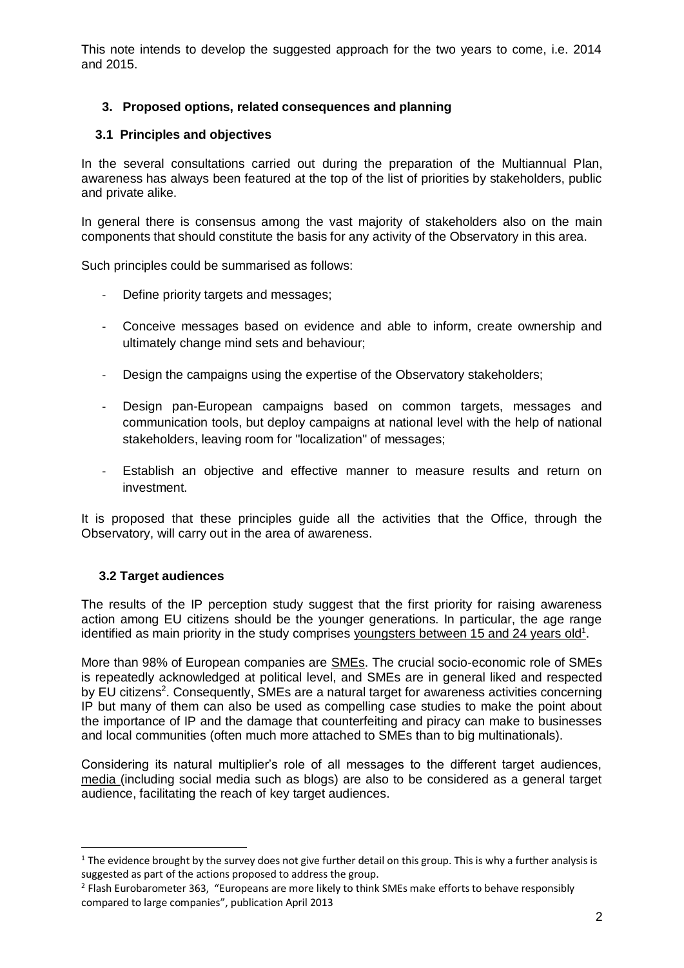This note intends to develop the suggested approach for the two years to come, i.e. 2014 and 2015.

# **3. Proposed options, related consequences and planning**

# **3.1 Principles and objectives**

In the several consultations carried out during the preparation of the Multiannual Plan, awareness has always been featured at the top of the list of priorities by stakeholders, public and private alike.

In general there is consensus among the vast majority of stakeholders also on the main components that should constitute the basis for any activity of the Observatory in this area.

Such principles could be summarised as follows:

- Define priority targets and messages;
- Conceive messages based on evidence and able to inform, create ownership and ultimately change mind sets and behaviour;
- Design the campaigns using the expertise of the Observatory stakeholders;
- Design pan-European campaigns based on common targets, messages and communication tools, but deploy campaigns at national level with the help of national stakeholders, leaving room for "localization" of messages;
- Establish an objective and effective manner to measure results and return on investment.

It is proposed that these principles guide all the activities that the Office, through the Observatory, will carry out in the area of awareness.

# **3.2 Target audiences**

 $\overline{a}$ 

The results of the IP perception study suggest that the first priority for raising awareness action among EU citizens should be the younger generations. In particular, the age range identified as main priority in the study comprises youngsters between 15 and 24 years old<sup>1</sup>.

More than 98% of European companies are SMEs. The crucial socio-economic role of SMEs is repeatedly acknowledged at political level, and SMEs are in general liked and respected by EU citizens<sup>2</sup>. Consequently, SMEs are a natural target for awareness activities concerning IP but many of them can also be used as compelling case studies to make the point about the importance of IP and the damage that counterfeiting and piracy can make to businesses and local communities (often much more attached to SMEs than to big multinationals).

Considering its natural multiplier's role of all messages to the different target audiences, media (including social media such as blogs) are also to be considered as a general target audience, facilitating the reach of key target audiences.

 $1$  The evidence brought by the survey does not give further detail on this group. This is why a further analysis is suggested as part of the actions proposed to address the group.

<sup>&</sup>lt;sup>2</sup> Flash Eurobarometer 363, "Europeans are more likely to think SMEs make efforts to behave responsibly compared to large companies", publication April 2013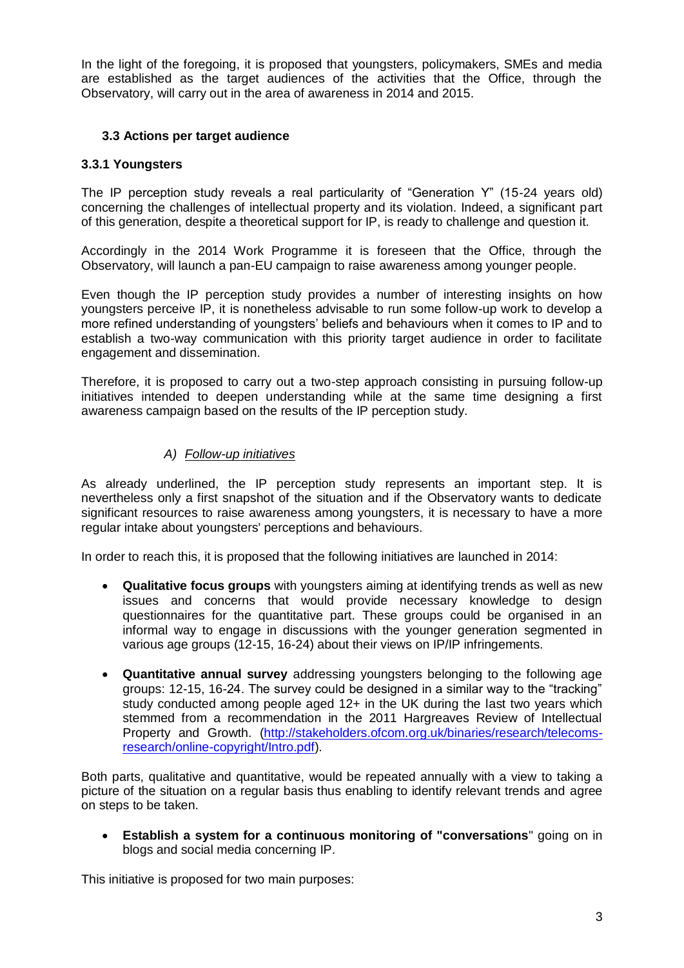In the light of the foregoing, it is proposed that youngsters, policymakers, SMEs and media are established as the target audiences of the activities that the Office, through the Observatory, will carry out in the area of awareness in 2014 and 2015.

## **3.3 Actions per target audience**

### **3.3.1 Youngsters**

The IP perception study reveals a real particularity of "Generation Y" (15-24 years old) concerning the challenges of intellectual property and its violation. Indeed, a significant part of this generation, despite a theoretical support for IP, is ready to challenge and question it.

Accordingly in the 2014 Work Programme it is foreseen that the Office, through the Observatory, will launch a pan-EU campaign to raise awareness among younger people.

Even though the IP perception study provides a number of interesting insights on how youngsters perceive IP, it is nonetheless advisable to run some follow-up work to develop a more refined understanding of youngsters' beliefs and behaviours when it comes to IP and to establish a two-way communication with this priority target audience in order to facilitate engagement and dissemination.

Therefore, it is proposed to carry out a two-step approach consisting in pursuing follow-up initiatives intended to deepen understanding while at the same time designing a first awareness campaign based on the results of the IP perception study.

### *A) Follow-up initiatives*

As already underlined, the IP perception study represents an important step. It is nevertheless only a first snapshot of the situation and if the Observatory wants to dedicate significant resources to raise awareness among youngsters, it is necessary to have a more regular intake about youngsters' perceptions and behaviours.

In order to reach this, it is proposed that the following initiatives are launched in 2014:

- **Qualitative focus groups** with youngsters aiming at identifying trends as well as new issues and concerns that would provide necessary knowledge to design questionnaires for the quantitative part. These groups could be organised in an informal way to engage in discussions with the younger generation segmented in various age groups (12-15, 16-24) about their views on IP/IP infringements.
- **Quantitative annual survey** addressing youngsters belonging to the following age groups: 12-15, 16-24. The survey could be designed in a similar way to the "tracking" study conducted among people aged 12+ in the UK during the last two years which stemmed from a recommendation in the 2011 Hargreaves Review of Intellectual Property and Growth. [\(http://stakeholders.ofcom.org.uk/binaries/research/telecoms](http://stakeholders.ofcom.org.uk/binaries/research/telecoms-research/online-copyright/Intro.pdf)[research/online-copyright/Intro.pdf\)](http://stakeholders.ofcom.org.uk/binaries/research/telecoms-research/online-copyright/Intro.pdf).

Both parts, qualitative and quantitative, would be repeated annually with a view to taking a picture of the situation on a regular basis thus enabling to identify relevant trends and agree on steps to be taken.

 **Establish a system for a continuous monitoring of "conversations**" going on in blogs and social media concerning IP.

This initiative is proposed for two main purposes: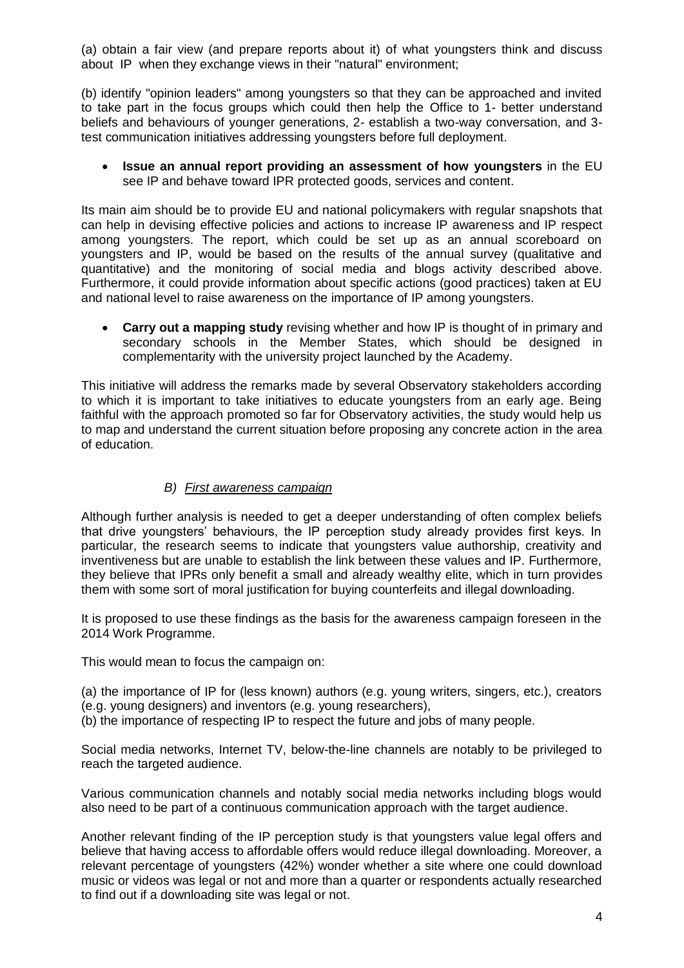(a) obtain a fair view (and prepare reports about it) of what youngsters think and discuss about IP when they exchange views in their "natural" environment;

(b) identify "opinion leaders" among youngsters so that they can be approached and invited to take part in the focus groups which could then help the Office to 1- better understand beliefs and behaviours of younger generations, 2- establish a two-way conversation, and 3 test communication initiatives addressing youngsters before full deployment.

 **Issue an annual report providing an assessment of how youngsters** in the EU see IP and behave toward IPR protected goods, services and content.

Its main aim should be to provide EU and national policymakers with regular snapshots that can help in devising effective policies and actions to increase IP awareness and IP respect among youngsters. The report, which could be set up as an annual scoreboard on youngsters and IP, would be based on the results of the annual survey (qualitative and quantitative) and the monitoring of social media and blogs activity described above. Furthermore, it could provide information about specific actions (good practices) taken at EU and national level to raise awareness on the importance of IP among youngsters.

 **Carry out a mapping study** revising whether and how IP is thought of in primary and secondary schools in the Member States, which should be designed in complementarity with the university project launched by the Academy.

This initiative will address the remarks made by several Observatory stakeholders according to which it is important to take initiatives to educate youngsters from an early age. Being faithful with the approach promoted so far for Observatory activities, the study would help us to map and understand the current situation before proposing any concrete action in the area of education.

#### *B) First awareness campaign*

Although further analysis is needed to get a deeper understanding of often complex beliefs that drive youngsters' behaviours, the IP perception study already provides first keys. In particular, the research seems to indicate that youngsters value authorship, creativity and inventiveness but are unable to establish the link between these values and IP. Furthermore, they believe that IPRs only benefit a small and already wealthy elite, which in turn provides them with some sort of moral justification for buying counterfeits and illegal downloading.

It is proposed to use these findings as the basis for the awareness campaign foreseen in the 2014 Work Programme.

This would mean to focus the campaign on:

(a) the importance of IP for (less known) authors (e.g. young writers, singers, etc.), creators (e.g. young designers) and inventors (e.g. young researchers),

(b) the importance of respecting IP to respect the future and jobs of many people.

Social media networks, Internet TV, below-the-line channels are notably to be privileged to reach the targeted audience.

Various communication channels and notably social media networks including blogs would also need to be part of a continuous communication approach with the target audience.

Another relevant finding of the IP perception study is that youngsters value legal offers and believe that having access to affordable offers would reduce illegal downloading. Moreover, a relevant percentage of youngsters (42%) wonder whether a site where one could download music or videos was legal or not and more than a quarter or respondents actually researched to find out if a downloading site was legal or not.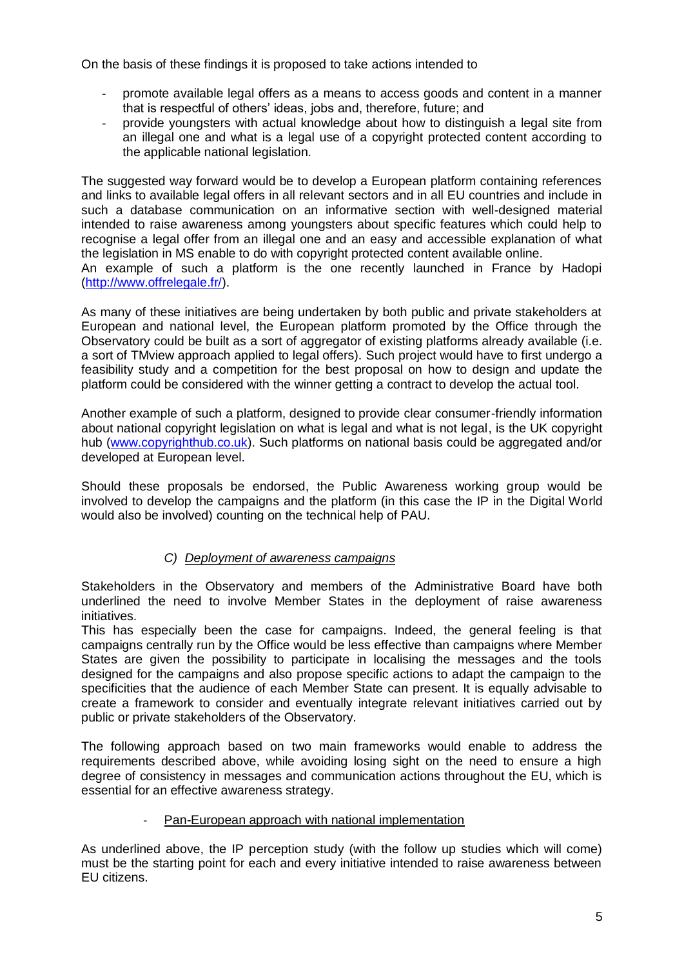On the basis of these findings it is proposed to take actions intended to

- promote available legal offers as a means to access goods and content in a manner that is respectful of others' ideas, jobs and, therefore, future; and
- provide youngsters with actual knowledge about how to distinguish a legal site from an illegal one and what is a legal use of a copyright protected content according to the applicable national legislation.

The suggested way forward would be to develop a European platform containing references and links to available legal offers in all relevant sectors and in all EU countries and include in such a database communication on an informative section with well-designed material intended to raise awareness among youngsters about specific features which could help to recognise a legal offer from an illegal one and an easy and accessible explanation of what the legislation in MS enable to do with copyright protected content available online.

An example of such a platform is the one recently launched in France by Hadopi [\(http://www.offrelegale.fr/\)](http://www.offrelegale.fr/).

As many of these initiatives are being undertaken by both public and private stakeholders at European and national level, the European platform promoted by the Office through the Observatory could be built as a sort of aggregator of existing platforms already available (i.e. a sort of TMview approach applied to legal offers). Such project would have to first undergo a feasibility study and a competition for the best proposal on how to design and update the platform could be considered with the winner getting a contract to develop the actual tool.

Another example of such a platform, designed to provide clear consumer-friendly information about national copyright legislation on what is legal and what is not legal, is the UK copyright hub [\(www.copyrighthub.co.uk\)](http://www.copyrighthub.co.uk/). Such platforms on national basis could be aggregated and/or developed at European level.

Should these proposals be endorsed, the Public Awareness working group would be involved to develop the campaigns and the platform (in this case the IP in the Digital World would also be involved) counting on the technical help of PAU.

# *C) Deployment of awareness campaigns*

Stakeholders in the Observatory and members of the Administrative Board have both underlined the need to involve Member States in the deployment of raise awareness initiatives.

This has especially been the case for campaigns. Indeed, the general feeling is that campaigns centrally run by the Office would be less effective than campaigns where Member States are given the possibility to participate in localising the messages and the tools designed for the campaigns and also propose specific actions to adapt the campaign to the specificities that the audience of each Member State can present. It is equally advisable to create a framework to consider and eventually integrate relevant initiatives carried out by public or private stakeholders of the Observatory.

The following approach based on two main frameworks would enable to address the requirements described above, while avoiding losing sight on the need to ensure a high degree of consistency in messages and communication actions throughout the EU, which is essential for an effective awareness strategy.

#### Pan-European approach with national implementation

As underlined above, the IP perception study (with the follow up studies which will come) must be the starting point for each and every initiative intended to raise awareness between EU citizens.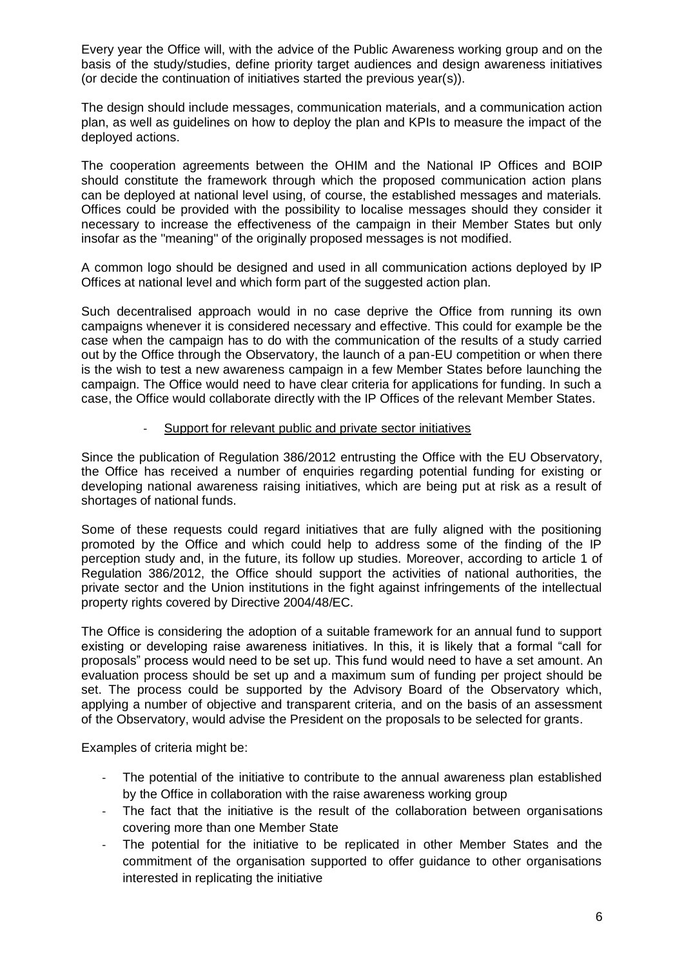Every year the Office will, with the advice of the Public Awareness working group and on the basis of the study/studies, define priority target audiences and design awareness initiatives (or decide the continuation of initiatives started the previous year(s)).

The design should include messages, communication materials, and a communication action plan, as well as guidelines on how to deploy the plan and KPIs to measure the impact of the deployed actions.

The cooperation agreements between the OHIM and the National IP Offices and BOIP should constitute the framework through which the proposed communication action plans can be deployed at national level using, of course, the established messages and materials. Offices could be provided with the possibility to localise messages should they consider it necessary to increase the effectiveness of the campaign in their Member States but only insofar as the "meaning" of the originally proposed messages is not modified.

A common logo should be designed and used in all communication actions deployed by IP Offices at national level and which form part of the suggested action plan.

Such decentralised approach would in no case deprive the Office from running its own campaigns whenever it is considered necessary and effective. This could for example be the case when the campaign has to do with the communication of the results of a study carried out by the Office through the Observatory, the launch of a pan-EU competition or when there is the wish to test a new awareness campaign in a few Member States before launching the campaign. The Office would need to have clear criteria for applications for funding. In such a case, the Office would collaborate directly with the IP Offices of the relevant Member States.

#### Support for relevant public and private sector initiatives

Since the publication of Regulation 386/2012 entrusting the Office with the EU Observatory, the Office has received a number of enquiries regarding potential funding for existing or developing national awareness raising initiatives, which are being put at risk as a result of shortages of national funds.

Some of these requests could regard initiatives that are fully aligned with the positioning promoted by the Office and which could help to address some of the finding of the IP perception study and, in the future, its follow up studies. Moreover, according to article 1 of Regulation 386/2012, the Office should support the activities of national authorities, the private sector and the Union institutions in the fight against infringements of the intellectual property rights covered by Directive 2004/48/EC.

The Office is considering the adoption of a suitable framework for an annual fund to support existing or developing raise awareness initiatives. In this, it is likely that a formal "call for proposals" process would need to be set up. This fund would need to have a set amount. An evaluation process should be set up and a maximum sum of funding per project should be set. The process could be supported by the Advisory Board of the Observatory which, applying a number of objective and transparent criteria, and on the basis of an assessment of the Observatory, would advise the President on the proposals to be selected for grants.

Examples of criteria might be:

- The potential of the initiative to contribute to the annual awareness plan established by the Office in collaboration with the raise awareness working group
- The fact that the initiative is the result of the collaboration between organisations covering more than one Member State
- The potential for the initiative to be replicated in other Member States and the commitment of the organisation supported to offer guidance to other organisations interested in replicating the initiative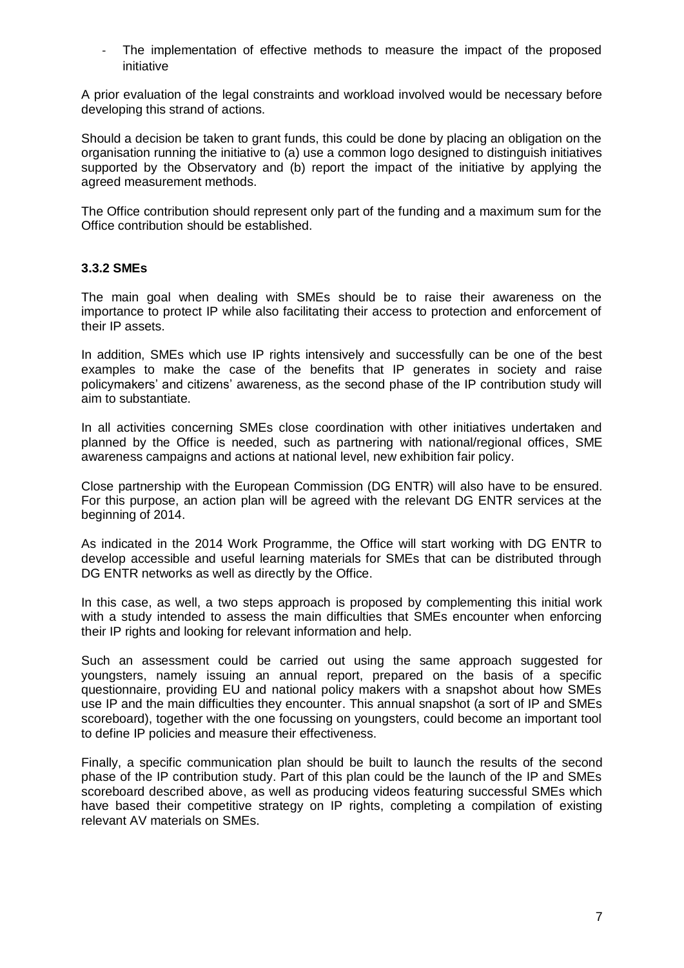The implementation of effective methods to measure the impact of the proposed initiative

A prior evaluation of the legal constraints and workload involved would be necessary before developing this strand of actions.

Should a decision be taken to grant funds, this could be done by placing an obligation on the organisation running the initiative to (a) use a common logo designed to distinguish initiatives supported by the Observatory and (b) report the impact of the initiative by applying the agreed measurement methods.

The Office contribution should represent only part of the funding and a maximum sum for the Office contribution should be established.

### **3.3.2 SMEs**

The main goal when dealing with SMEs should be to raise their awareness on the importance to protect IP while also facilitating their access to protection and enforcement of their IP assets.

In addition, SMEs which use IP rights intensively and successfully can be one of the best examples to make the case of the benefits that IP generates in society and raise policymakers' and citizens' awareness, as the second phase of the IP contribution study will aim to substantiate.

In all activities concerning SMEs close coordination with other initiatives undertaken and planned by the Office is needed, such as partnering with national/regional offices, SME awareness campaigns and actions at national level, new exhibition fair policy.

Close partnership with the European Commission (DG ENTR) will also have to be ensured. For this purpose, an action plan will be agreed with the relevant DG ENTR services at the beginning of 2014.

As indicated in the 2014 Work Programme, the Office will start working with DG ENTR to develop accessible and useful learning materials for SMEs that can be distributed through DG ENTR networks as well as directly by the Office.

In this case, as well, a two steps approach is proposed by complementing this initial work with a study intended to assess the main difficulties that SMEs encounter when enforcing their IP rights and looking for relevant information and help.

Such an assessment could be carried out using the same approach suggested for youngsters, namely issuing an annual report, prepared on the basis of a specific questionnaire, providing EU and national policy makers with a snapshot about how SMEs use IP and the main difficulties they encounter. This annual snapshot (a sort of IP and SMEs scoreboard), together with the one focussing on youngsters, could become an important tool to define IP policies and measure their effectiveness.

Finally, a specific communication plan should be built to launch the results of the second phase of the IP contribution study. Part of this plan could be the launch of the IP and SMEs scoreboard described above, as well as producing videos featuring successful SMEs which have based their competitive strategy on IP rights, completing a compilation of existing relevant AV materials on SMEs.